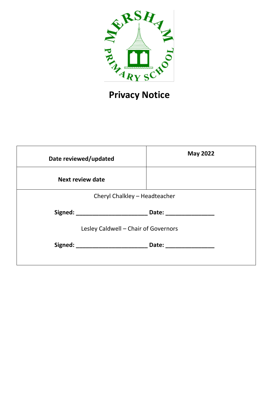

| Date reviewed/updated                                                            | <b>May 2022</b> |
|----------------------------------------------------------------------------------|-----------------|
| <b>Next review date</b>                                                          |                 |
| Cheryl Chalkley - Headteacher                                                    |                 |
| Signed: _________________________________ Date: ________________________________ |                 |
| Lesley Caldwell - Chair of Governors                                             |                 |
| Signed: __________________________________ Date: _______________________________ |                 |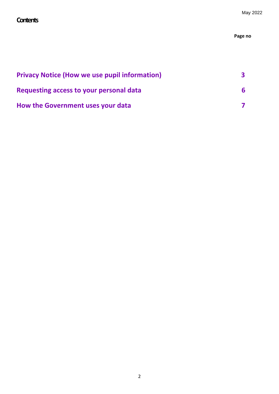### **Contents**

#### **Page no**

| <b>Privacy Notice (How we use pupil information)</b> |  |
|------------------------------------------------------|--|
| Requesting access to your personal data              |  |
| How the Government uses your data                    |  |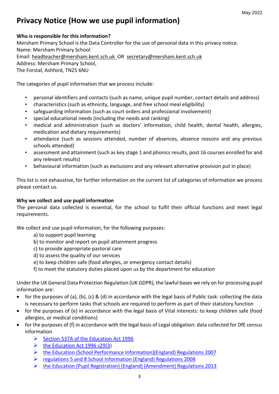# **Privacy Notice (How we use pupil information)**

#### **Who is responsible for this information?**

Mersham Primary School is the Data Controller for the use of personal data in this privacy notice. Name: Mersham Primary School Email: [headteacher@mersham.kent.sch.uk](mailto:headteacher@mersham.kent.sch.uk) OR [secretary@mersham.kent.sch.uk](mailto:secretary@mersham.kent.sch.uk) Address: Mersham Primary School, The Forstal, Ashford, TN25 6NU

The categories of pupil information that we process include:

- personal identifiers and contacts (such as name, unique pupil number, contact details and address)
- characteristics (such as ethnicity, language, and free school meal eligibility)
- safeguarding information (such as court orders and professional involvement)
- special educational needs (including the needs and ranking)
- medical and administration (such as doctors' information, child health, dental health, allergies, medication and dietary requirements)
- attendance (such as sessions attended, number of absences, absence reasons and any previous schools attended)
- assessment and attainment (such as key stage 1 and phonics results, post 16 courses enrolled for and any relevant results)
- behavioural information (such as exclusions and any relevant alternative provision put in place)

This list is not exhaustive, for further information on the current list of categories of information we process please contact us.

#### **Why we collect and use pupil information**

The personal data collected is essential, for the school to fulfil their official functions and meet legal requirements.

We collect and use pupil information, for the following purposes:

- a) to support pupil learning
- b) to monitor and report on pupil attainment progress
- c) to provide appropriate pastoral care
- d) to assess the quality of our services
- e) to keep children safe (food allergies, or emergency contact details)
- f) to meet the statutory duties placed upon us by the department for education

Under the UK General Data Protection Regulation (UK GDPR), the lawful bases we rely on for processing pupil information are:

- for the purposes of (a), (b), (c) & (d) in accordance with the legal basis of Public task: collecting the data is necessary to perform tasks that schools are required to perform as part of their statutory function
- for the purposes of (e) in accordance with the legal basis of Vital interests: to keep children safe (food allergies, or medical conditions)
- for the purposes of (f) in accordance with the legal basis of Legal obligation: data collected for DfE census information
	- $\triangleright$  [Section 537A of the Education Act 1996](http://www.legislation.gov.uk/ukpga/1996/56/section/537A)
	- $\triangleright$  [the Education Act 1996 s29\(3\)](http://www.legislation.gov.uk/ukpga/1996/56/section/29)
	- [the Education \(School Performance Information\)\(England\) Regulations 2007](http://www.legislation.gov.uk/uksi/2007/2324/contents/made)
	- [regulations 5 and 8 School Information \(England\) Regulations 2008](http://www.legislation.gov.uk/uksi/2008/3093/pdfs/uksi_20083093_en.pdf)
	- [the Education \(Pupil Registration\) \(England\) \(Amendment\) Regulations 2013](http://www.legislation.gov.uk/uksi/2013/756/contents/made)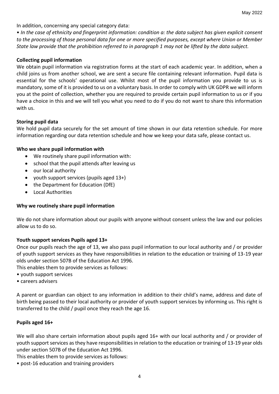In addition, concerning any special category data:

• *In the case of ethnicity and fingerprint information: condition a: the data subject has given explicit consent to the processing of those personal data for one or more specified purposes, except where Union or Member State law provide that the prohibition referred to in paragraph 1 may not be lifted by the data subject.*

#### **Collecting pupil information**

We obtain pupil information via registration forms at the start of each academic year. In addition, when a child joins us from another school, we are sent a secure file containing relevant information. Pupil data is essential for the schools' operational use. Whilst most of the pupil information you provide to us is mandatory, some of it is provided to us on a voluntary basis. In order to comply with UK GDPR we will inform you at the point of collection, whether you are required to provide certain pupil information to us or if you have a choice in this and we will tell you what you need to do if you do not want to share this information with us.

#### **Storing pupil data**

We hold pupil data securely for the set amount of time shown in our data retention schedule. For more information regarding our data retention schedule and how we keep your data safe, please contact us.

#### **Who we share pupil information with**

- We routinely share pupil information with:
- school that the pupil attends after leaving us
- our local authority
- youth support services (pupils aged 13+)
- the Department for Education (DfE)
- Local Authorities

#### **Why we routinely share pupil information**

We do not share information about our pupils with anyone without consent unless the law and our policies allow us to do so.

#### **Youth support services Pupils aged 13+**

Once our pupils reach the age of 13, we also pass pupil information to our local authority and / or provider of youth support services as they have responsibilities in relation to the education or training of 13-19 year olds under section 507B of the Education Act 1996.

This enables them to provide services as follows:

- youth support services
- careers advisers

A parent or guardian can object to any information in addition to their child's name, address and date of birth being passed to their local authority or provider of youth support services by informing us. This right is transferred to the child / pupil once they reach the age 16.

#### **Pupils aged 16+**

We will also share certain information about pupils aged 16+ with our local authority and / or provider of youth support services as they have responsibilities in relation to the education or training of 13-19 year olds under section 507B of the Education Act 1996.

This enables them to provide services as follows:

• post-16 education and training providers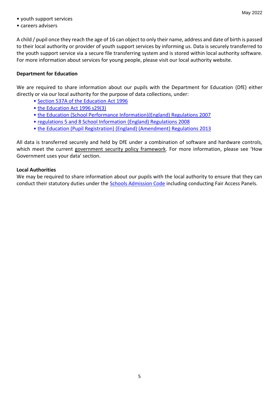- youth support services
- careers advisers

A child / pupil once they reach the age of 16 can object to only their name, address and date of birth is passed to their local authority or provider of youth support services by informing us. Data is securely transferred to the youth support service via a secure file transferring system and is stored within local authority software. For more information about services for young people, please visit our local authority website.

#### **Department for Education**

We are required to share information about our pupils with the Department for Education (DfE) either directly or via our local authority for the purpose of data collections, under:

- [Section 537A of the Education Act 1996](http://www.legislation.gov.uk/ukpga/1996/56/section/537A)
- [the Education Act 1996 s29\(3\)](http://www.legislation.gov.uk/ukpga/1996/56/section/29)
- [the Education \(School Performance Information\)\(England\) Regulations 2007](http://www.legislation.gov.uk/uksi/2007/2324/contents/made)
- [regulations 5 and 8 School Information \(England\) Regulations 2008](http://www.legislation.gov.uk/uksi/2008/3093/pdfs/uksi_20083093_en.pdf)
- [the Education \(Pupil Registration\) \(England\) \(Amendment\) Regulations 2013](http://www.legislation.gov.uk/uksi/2013/756/contents/made)

All data is transferred securely and held by DfE under a combination of software and hardware controls, which meet the current [government security policy framework](https://www.gov.uk/government/publications/security-policy-framework). For more information, please see 'How Government uses your data' section.

#### **Local Authorities**

We may be required to share information about our pupils with the local authority to ensure that they can conduct their statutory duties under the **Schools Admission Code** including conducting Fair Access Panels.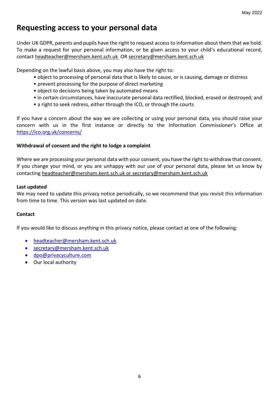## **Requesting access to your personal data**

Under UK GDPR, parents and pupils have the right to request access to information about them that we hold. To make a request for your personal information, or be given access to your child's educational record, contac[t headteacher@mersham.kent.sch.uk](mailto:headteacher@mersham.kent.sch.uk) OR [secretary@mersham.kent.sch.uk](mailto:secretary@mersham.kent.sch.uk)

Depending on the lawful basis above, you may also have the right to:

- object to processing of personal data that is likely to cause, or is causing, damage or distress
- prevent processing for the purpose of direct marketing
- object to decisions being taken by automated means
- in certain circumstances, have inaccurate personal data rectified, blocked, erased or destroyed; and
- a right to seek redress, either through the ICO, or through the courts

If you have a concern about the way we are collecting or using your personal data, you should raise your concern with us in the first instance or directly to the Information Commissioner's Office at <https://ico.org.uk/concerns/>

#### **Withdrawal of consent and the right to lodge a complaint**

Where we are processing your personal data with your consent, you have the right to withdraw that consent. If you change your mind, or you are unhappy with our use of your personal data, please let us know by contacting [headteacher@mersham.kent.sch.uk](mailto:headteacher@mersham.kent.sch.uk) or [secretary@mersham.kent.sch.uk](mailto:secretary@mersham.kent.sch.uk)

#### **Last updated**

We may need to update this privacy notice periodically, so we recommend that you revisit this information from time to time. This version was last updated on date.

#### **Contact**

If you would like to discuss anything in this privacy notice, please contact at one of the following:

- [headteacher@mersham.kent.sch.uk](mailto:headteacher@mersham.kent.sch.uk)
- [secretary@mersham.kent.sch.uk](mailto:secretary@mersham.kent.sch.uk)
- dpo@privacyculture.com
- Our local authority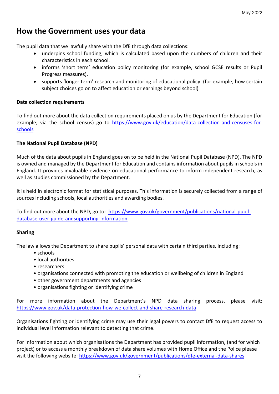# **How the Government uses your data**

The pupil data that we lawfully share with the DfE through data collections:

- underpins school funding, which is calculated based upon the numbers of children and their characteristics in each school.
- informs 'short term' education policy monitoring (for example, school GCSE results or Pupil Progress measures).
- supports 'longer term' research and monitoring of educational policy. (for example, how certain subject choices go on to affect education or earnings beyond school)

#### **Data collection requirements**

To find out more about the data collection requirements placed on us by the Department for Education (for example; via the school census) go to [https://www.gov.uk/education/data-collection-and-censuses-for](https://www.gov.uk/education/data-collection-and-censuses-for-schools)[schools](https://www.gov.uk/education/data-collection-and-censuses-for-schools)

#### **The National Pupil Database (NPD)**

Much of the data about pupils in England goes on to be held in the National Pupil Database (NPD). The NPD is owned and managed by the Department for Education and contains information about pupils in schools in England. It provides invaluable evidence on educational performance to inform independent research, as well as studies commissioned by the Department.

It is held in electronic format for statistical purposes. This information is securely collected from a range of sources including schools, local authorities and awarding bodies.

To find out more about the NPD, go to: [https://www.gov.uk/government/publications/national-pupil](https://www.gov.uk/government/publications/national-pupil-database-user-guide-andsupporting-information)[database-user-guide-andsupporting-information](https://www.gov.uk/government/publications/national-pupil-database-user-guide-andsupporting-information)

#### **Sharing**

The law allows the Department to share pupils' personal data with certain third parties, including:

- schools
- local authorities
- researchers
- organisations connected with promoting the education or wellbeing of children in England
- other government departments and agencies
- organisations fighting or identifying crime

For more information about the Department's NPD data sharing process, please visit: <https://www.gov.uk/data-protection-how-we-collect-and-share-research-data>

Organisations fighting or identifying crime may use their legal powers to contact DfE to request access to individual level information relevant to detecting that crime.

For information about which organisations the Department has provided pupil information, (and for which project) or to access a monthly breakdown of data share volumes with Home Office and the Police please visit the following website:<https://www.gov.uk/government/publications/dfe-external-data-shares>